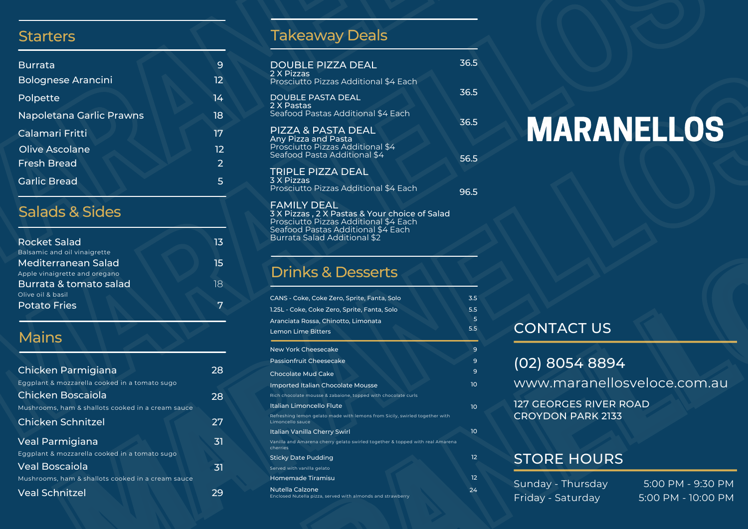#### **Starters**

| <b>Burrata</b>            | 9  |
|---------------------------|----|
| <b>Bolognese Arancini</b> | 12 |
| Polpette                  | 14 |
| Napoletana Garlic Prawns  | 18 |
| Calamari Fritti           | 17 |
| Olive Ascolane            | 12 |
| Fresh Bread               | 2  |
| <b>Garlic Bread</b>       | 5  |

#### Salads & Sides

| <b>Rocket Salad</b>           | 13 |
|-------------------------------|----|
| Balsamic and oil vinaigrette  |    |
| Mediterranean Salad           | 15 |
| Apple vinaigrette and oregano |    |
| Burrata & tomato salad        | 18 |
| Olive oil & basil             |    |
| <b>Potato Fries</b>           |    |

## Mains

|                                                   |    | Passionfruit Cheesecake                                             |
|---------------------------------------------------|----|---------------------------------------------------------------------|
| Chicken Parmigiana                                | 28 | Chocolate Mud Cake                                                  |
| Eggplant & mozzarella cooked in a tomato sugo     |    | Imported Italian Chocolate Mou                                      |
| Chicken Boscaiola                                 | 28 | Rich chocolate mousse & zabaione, toppe                             |
| Mushrooms, ham & shallots cooked in a cream sauce |    | Italian Limoncello Flute                                            |
| <b>Chicken Schnitzel</b>                          | 27 | Refreshing lemon gelato made with lemo<br>Limoncello sauce          |
|                                                   |    | Italian Vanilla Cherry Swirl                                        |
| Veal Parmigiana                                   | 31 | Vanilla and Amarena cherry gelato swirled<br>cherries               |
| Eggplant & mozzarella cooked in a tomato sugo     |    | <b>Sticky Date Pudding</b>                                          |
| Veal Boscaiola                                    | 31 | Served with vanilla gelato                                          |
| Mushrooms, ham & shallots cooked in a cream sauce |    | Homemade Tiramisu                                                   |
| <b>Veal Schnitzel</b>                             | 29 | <b>Nutella Calzone</b><br>Enclosed Nutella pizza, served with almor |
|                                                   |    |                                                                     |
|                                                   |    |                                                                     |

#### Takeaway Deals

| <b>DOUBLE PIZZA DEAL</b><br>2 X Pizzas                                                                        | 36.5 |
|---------------------------------------------------------------------------------------------------------------|------|
| Prosciutto Pizzas Additional \$4 Each                                                                         | 36.5 |
| DOUBLE PASTA DEAL<br>2 X Pastas<br>Seafood Pastas Additional \$4 Each                                         | 36.5 |
| PIZZA & PASTA DEAL<br>Any Pizza and Pasta<br>Prosciutto Pizzas Additional \$4<br>Seafood Pasta Additional \$4 | 56.5 |
| TRIPLE PIZZA DEAL<br>3 X Pizzas<br>Prosciutto Pizzas Additional \$4 Each                                      | 96.5 |
| <b>FAMILY DEAL</b><br>3 X Pizzas, 2 X Pastas & Your choice of Salad<br>Prosciutto Pizzas Additional \$4 Each  |      |

#### Drinks & Desserts

Seafood Pastas Additional \$4 Each Burrata Salad Additional \$2

| CANS - Coke, Coke Zero, Sprite, Fanta, Solo<br>1.25L - Coke, Coke Zero, Sprite, Fanta, Solo<br>Aranciata Rossa, Chinotto, Limonata<br><b>Lemon Lime Bitters</b>                                                                                                                                                                                                                                                                          | 3.5<br>5.5<br>5<br>5.5                                                            | <b>CONTACT US</b>                                                                                          |                                         |
|------------------------------------------------------------------------------------------------------------------------------------------------------------------------------------------------------------------------------------------------------------------------------------------------------------------------------------------------------------------------------------------------------------------------------------------|-----------------------------------------------------------------------------------|------------------------------------------------------------------------------------------------------------|-----------------------------------------|
| New York Cheesecake<br>Passionfruit Cheesecake<br><b>Chocolate Mud Cake</b><br><b>Imported Italian Chocolate Mousse</b><br>Rich chocolate mousse & zabaione, topped with chocolate curls<br>Italian Limoncello Flute<br>Refreshing lemon gelato made with lemons from Sicily, swirled together with<br>Limoncello sauce<br>Italian Vanilla Cherry Swirl<br>Vanilla and Amarena cherry gelato swirled together & topped with real Amarena | $\overline{9}$<br>9<br>9<br>10 <sup>°</sup><br>10 <sup>°</sup><br>10 <sup>°</sup> | (02) 8054 8894<br>www.maranellosveloce.com.au<br><b>127 GEORGES RIVER ROAD</b><br><b>CROYDON PARK 2133</b> |                                         |
| cherries<br><b>Sticky Date Pudding</b><br>Served with vanilla gelato                                                                                                                                                                                                                                                                                                                                                                     | 12 <sup>2</sup>                                                                   | <b>STORE HOURS</b>                                                                                         |                                         |
| <b>Homemade Tiramisu</b><br><b>Nutella Calzone</b><br>Enclosed Nutella pizza, served with almonds and strawberry                                                                                                                                                                                                                                                                                                                         | 12 <sup>2</sup><br>24                                                             | Sunday - Thursday<br>Friday - Saturday                                                                     | 5:00 PM - 9:30 PM<br>5:00 PM - 10:00 PM |

# MARANELLOS

## CONTACT US

- (02) 8054 8894
- www.maranellosveloce.com.au
- 127 GEORGES RIVER ROAD CROYDON PARK 2133

#### STORE HOURS

| Sunday - Thursday |  |
|-------------------|--|
| Friday - Saturday |  |